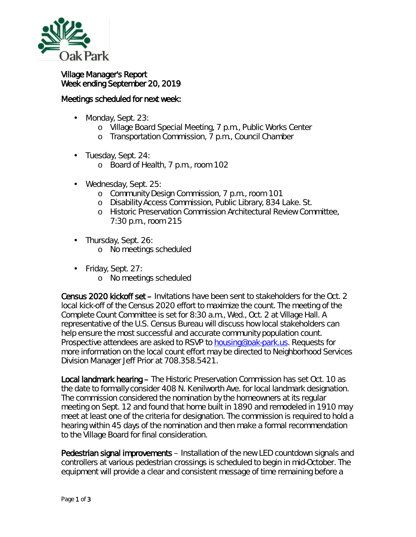

## Village Manager's Report Week ending September 20, 2019

## Meetings scheduled for next week:

- Monday, Sept. 23: ä,
	- o Village Board Special Meeting, 7 p.m., Public Works Center
	- o Transportation Commission, 7 p.m., Council Chamber
- Tuesday, Sept. 24:
	- o Board of Health, 7 p.m., room 102
- Wednesday, Sept. 25:
	- o Community Design Commission, 7 p.m., room 101
	- o Disability Access Commission, Public Library, 834 Lake. St.
	- o Historic Preservation Commission Architectural Review Committee, 7:30 p.m., room 215
- Thursday, Sept. 26:  $\mathbf{r}^{\prime}$ 
	- o No meetings scheduled
	- Friday, Sept. 27:

ä,

o No meetings scheduled

Census 2020 kickoff set – Invitations have been sent to stakeholders for the Oct. 2 local kick-off of the Census 2020 effort to maximize the count. The meeting of the *Complete Count Committee* is set for 8:30 a.m., Wed., Oct. 2 at Village Hall. A representative of the U.S. Census Bureau will discuss how local stakeholders can help ensure the most successful and accurate community population count. Prospective attendees are asked to RSVP to **housing@oak-park.us**. Requests for more information on the local count effort may be directed to Neighborhood Services Division Manager Jeff Prior at 708.358.5421.

Local landmark hearing – The Historic Preservation Commission has set Oct. 10 as the date to formally consider 408 N. Kenilworth Ave. for local landmark designation. The commission considered the nomination by the homeowners at its regular meeting on Sept. 12 and found that home built in 1890 and remodeled in 1910 may meet at least one of the criteria for designation. The commission is required to hold a hearing within 45 days of the nomination and then make a formal recommendation to the Village Board for final consideration.

Pedestrian signal improvements – Installation of the new LED countdown signals and controllers at various pedestrian crossings is scheduled to begin in mid-October. The equipment will provide a clear and consistent message of time remaining before a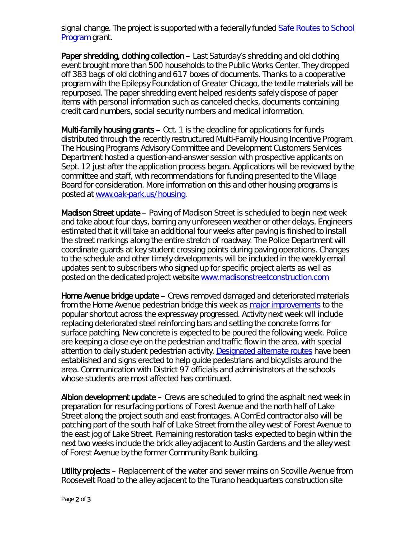signal change. The project is supported with a federally funded [Safe Routes to School](https://www.transportation.gov/mission/health/Safe-Routes-to-School-Programs)  [Program](https://www.transportation.gov/mission/health/Safe-Routes-to-School-Programs) grant.

Paper shredding, clothing collection – Last Saturday's shredding and old clothing event brought more than 500 households to the Public Works Center. They dropped off 383 bags of old clothing and 617 boxes of documents. Thanks to a cooperative program with the Epilepsy Foundation of Greater Chicago, the textile materials will be repurposed. The paper shredding event helped residents safely dispose of paper items with personal information such as canceled checks, documents containing credit card numbers, social security numbers and medical information.

Multi-family housing grants – Oct. 1 is the deadline for applications for funds distributed through the recently restructured Multi-Family Housing Incentive Program. The Housing Programs Advisory Committee and Development Customers Services Department hosted a question-and-answer session with prospective applicants on Sept. 12 just after the application process began. Applications will be reviewed by the committee and staff, with recommendations for funding presented to the Village Board for consideration. More information on this and other housing programs is posted at [www.oak-park.us/housing.](http://www.oak-park.us/housing)

Madison Street update – Paving of Madison Street is scheduled to begin next week and take about four days, barring any unforeseen weather or other delays. Engineers estimated that it will take an additional four weeks after paving is finished to install the street markings along the entire stretch of roadway. The Police Department will coordinate guards at key student crossing points during paving operations. Changes to the schedule and other timely developments will be included in the weekly email updates sent to subscribers who signed up for specific project alerts as well as posted on the dedicated project website [www.madisonstreetconstruction.com](http://www.madisonstreetconstruction.com/)

Home Avenue bridge update – Crews removed damaged and deteriorated materials from the Home Avenue pedestrian bridge this week as [major improvements](https://www.oak-park.us/news/construction-temporarily-close-home-avenue-pedestrian-bridge) to the popular shortcut across the expressway progressed. Activity next week will include replacing deteriorated steel reinforcing bars and setting the concrete forms for surface patching. New concrete is expected to be poured the following week. Police are keeping a close eye on the pedestrian and traffic flow in the area, with special attention to daily student pedestrian activity. [Designated alternate routes](https://www.oak-park.us/sites/default/files/456678891/2019-09-04-lincoln_brooks_schools_temporary_student_walking_route_map.pdf) have been established and signs erected to help guide pedestrians and bicyclists around the area. Communication with District 97 officials and administrators at the schools whose students are most affected has continued.

Albion development update – Crews are scheduled to grind the asphalt next week in preparation for resurfacing portions of Forest Avenue and the north half of Lake Street along the project south and east frontages. A ComEd contractor also will be patching part of the south half of Lake Street from the alley west of Forest Avenue to the east jog of Lake Street. Remaining restoration tasks expected to begin within the next two weeks include the brick alley adjacent to Austin Gardens and the alley west of Forest Avenue by the former Community Bank building.

Utility projects – Replacement of the water and sewer mains on Scoville Avenue from Roosevelt Road to the alley adjacent to the Turano headquarters construction site